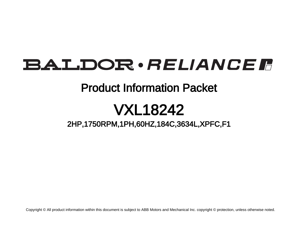# BALDOR · RELIANCE F

## Product Information Packet

# VXL18242

2HP,1750RPM,1PH,60HZ,184C,3634L,XPFC,F1

Copyright © All product information within this document is subject to ABB Motors and Mechanical Inc. copyright © protection, unless otherwise noted.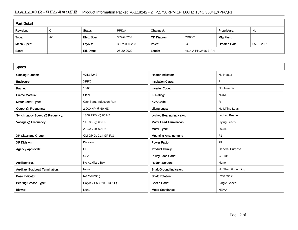### BALDOR · RELIANCE F Product Information Packet: VXL18242 - 2HP,1750RPM,1PH,60HZ,184C,3634L,XPFC,F1

| <b>Part Detail</b> |        |             |              |             |                     |                      |            |  |
|--------------------|--------|-------------|--------------|-------------|---------------------|----------------------|------------|--|
| Revision:          | ⌒<br>◡ | Status:     | PRD/A        | Change #:   |                     | Proprietary:         | No         |  |
| Type:              | AC     | Elec. Spec: | 36WG0203     | CD Diagram: | CD0001              | Mfg Plant:           |            |  |
| Mech. Spec:        |        | Layout:     | 36LY-000-233 | Poles:      | 04                  | <b>Created Date:</b> | 05-06-2021 |  |
| Base:              |        | Eff. Date:  | 05-20-2022   | Leads:      | 4#14 A PH,2#16 B PH |                      |            |  |

| <b>Specs</b>                           |                          |                                  |                        |
|----------------------------------------|--------------------------|----------------------------------|------------------------|
| <b>Catalog Number:</b>                 | <b>VXL18242</b>          | <b>Heater Indicator:</b>         | No Heater              |
| Enclosure:                             | <b>XPFC</b>              | <b>Insulation Class:</b>         | F                      |
| Frame:                                 | 184C                     | <b>Inverter Code:</b>            | Not Inverter           |
| <b>Frame Material:</b>                 | Steel                    | IP Rating:                       | <b>NONE</b>            |
| Motor Letter Type:                     | Cap Start, Induction Run | <b>KVA Code:</b>                 | R                      |
| Output @ Frequency:                    | 2.000 HP @ 60 HZ         | <b>Lifting Lugs:</b>             | No Lifting Lugs        |
| Synchronous Speed @ Frequency:         | 1800 RPM @ 60 HZ         | <b>Locked Bearing Indicator:</b> | <b>Locked Bearing</b>  |
| Voltage @ Frequency:                   | 115.0 V @ 60 HZ          | <b>Motor Lead Termination:</b>   | <b>Flying Leads</b>    |
|                                        | 230.0 V @ 60 HZ          | Motor Type:                      | 3634L                  |
| XP Class and Group:                    | CLI GP D; CLII GP F,G    | <b>Mounting Arrangement:</b>     | F <sub>1</sub>         |
| <b>XP Division:</b>                    | Division I               | <b>Power Factor:</b>             | 79                     |
| <b>Agency Approvals:</b>               | UL                       | <b>Product Family:</b>           | <b>General Purpose</b> |
|                                        | <b>CSA</b>               | <b>Pulley Face Code:</b>         | C-Face                 |
| <b>Auxillary Box:</b>                  | No Auxillary Box         | <b>Rodent Screen:</b>            | None                   |
| <b>Auxillary Box Lead Termination:</b> | None                     | <b>Shaft Ground Indicator:</b>   | No Shaft Grounding     |
| <b>Base Indicator:</b>                 | No Mounting              | <b>Shaft Rotation:</b>           | Reversible             |
| <b>Bearing Grease Type:</b>            | Polyrex EM (-20F +300F)  | <b>Speed Code:</b>               | Single Speed           |
| <b>Blower:</b>                         | None                     | <b>Motor Standards:</b>          | <b>NEMA</b>            |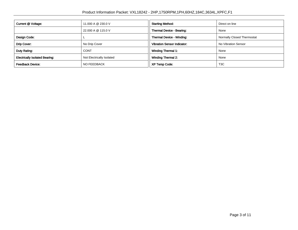| Current @ Voltage:                    | 11,000 A @ 230.0 V        | <b>Starting Method:</b>            | Direct on line             |  |
|---------------------------------------|---------------------------|------------------------------------|----------------------------|--|
|                                       | 22.000 A @ 115.0 V        | Thermal Device - Bearing:          | None                       |  |
| Design Code:                          |                           | Thermal Device - Winding:          | Normally Closed Thermostat |  |
| Drip Cover:                           | No Drip Cover             | <b>Vibration Sensor Indicator:</b> | No Vibration Sensor        |  |
| Duty Rating:                          | <b>CONT</b>               | <b>Winding Thermal 1:</b>          | None                       |  |
| <b>Electrically Isolated Bearing:</b> | Not Electrically Isolated | <b>Winding Thermal 2:</b>          | None                       |  |
| <b>Feedback Device:</b>               | NO FEEDBACK               | <b>XP Temp Code:</b>               | T <sub>3</sub> C           |  |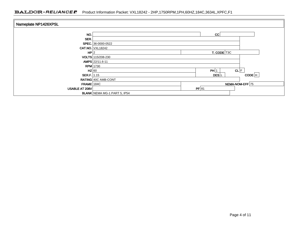### BALDOR · RELIANCE F Product Information Packet: VXL18242 - 2HP,1750RPM,1PH,60HZ,184C,3634L,XPFC,F1

| Nameplate NP1426XPSL  |                                     |                                          |  |  |
|-----------------------|-------------------------------------|------------------------------------------|--|--|
| NO.                   |                                     | CC                                       |  |  |
| SER.                  |                                     |                                          |  |  |
|                       | SPEC. 36-0000-0522                  |                                          |  |  |
|                       | <b>CAT.NO. VXL18242</b>             |                                          |  |  |
| HP 2                  |                                     | T. CODE T3C                              |  |  |
|                       | VOLTS 115/208-230                   |                                          |  |  |
|                       | AMPS 22/11.6-11                     |                                          |  |  |
|                       | $RPM$ 1730                          |                                          |  |  |
| $HZ$ 60               |                                     | CL F<br>PH 1                             |  |  |
| <b>SER.F.</b> 1.15    |                                     | $CODE$ <sup>H</sup><br>DES <sup>IL</sup> |  |  |
|                       | RATING 40C AMB-CONT                 |                                          |  |  |
| $FRAME$ 184C          |                                     | NEMA-NOM-EFF 75                          |  |  |
| <b>USABLE AT 208V</b> |                                     | PF 81                                    |  |  |
|                       | <b>BLANK</b> NEMA MG-1 PART 5, IP54 |                                          |  |  |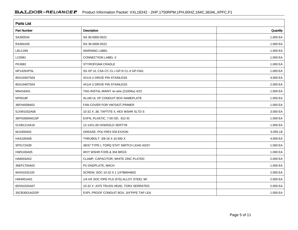| <b>Parts List</b> |                                          |          |  |  |  |  |
|-------------------|------------------------------------------|----------|--|--|--|--|
| Part Number       | Description                              | Quantity |  |  |  |  |
| SA393534          | SA 36-0000-0522                          | 1.000 EA |  |  |  |  |
| RA384185          | RA 36-0000-0522                          | 1.000 EA |  |  |  |  |
| LB1119N           | <b>WARNING LABEL</b>                     | 1.000 EA |  |  |  |  |
| LC0081            | CONNECTION LABEL X                       | 1.000 EA |  |  |  |  |
| PK3082            | STYROFOAM CRADLE                         | 1.000 EA |  |  |  |  |
| NP1426XPSL        | SS XP UL CSA CC CL-I GP-D CL-II GP-F&G   | 1.000 EA |  |  |  |  |
| 85XU0407S04       | 4X1/4 U DRIVE PIN STAINLESS              | 4.000 EA |  |  |  |  |
| 85XU0407S04       | 4X1/4 U DRIVE PIN STAINLESS              | 2.000 EA |  |  |  |  |
| MN416A01          | TAG-INSTAL-MAINT no wire (2100/bx) 4/22  | 1.000 EA |  |  |  |  |
| NP0018F           | ALUM UL XP CONDUIT BOX NAMEPLATE         | 1.000 EA |  |  |  |  |
| 36FH4009A02       | FAN COVER FOR VM7042T, PRIMER            | 1.000 EA |  |  |  |  |
| 51XW1032A06       | 10-32 X .38, TAPTITE II, HEX WSHR SLTD S | 3.000 EA |  |  |  |  |
| 36FN3000A01SP     | EXFN, PLASTIC, 7.00 OD, .912 ID          | 1.000 EA |  |  |  |  |
| 51XB1214A16       | 12-14X1.00 HXWSSLD SERTYB                | 1.000 EA |  |  |  |  |
| MJ1000A02         | GREASE, POLYREX EM EXXON                 | 0.050 LB |  |  |  |  |
| HA3105A06         | THRUBOLT- 3/8-16 X 10.500 X              | 4.000 EA |  |  |  |  |
| SP5172A39         | 36/37 TYPE L TORQ STAT SWITCH LEAD ASSY  | 1.000 EA |  |  |  |  |
| HW5100A05         | WVY WSHR F/205 & 304 BRGS                | 1.000 EA |  |  |  |  |
| HA6003A52         | CLAMP, CAPACITOR, WHITE ZINC PLATED      | 2.000 EA |  |  |  |  |
| 36EP1704A02       | PU ENDPLATE, MACH                        | 1.000 EA |  |  |  |  |
| 84XN1032J20       | SCREW, SOC 10-32 X 1 1/4"BMH4602         | 2.000 EA |  |  |  |  |
| HW4001A01         | 1/4 HX SOC PIPE PLG (F/S) ALLOY STEEL W/ | 2.000 EA |  |  |  |  |
| 60XN1032A07       | 10-32 X .4375 TRUSS HEAD, TORX SERRATED  | 2.000 EA |  |  |  |  |
| 35CB3001A02SP     | EXPL PROOF CONDUIT BOX, 3/4"PIPE TAP LEA | 1.000 EA |  |  |  |  |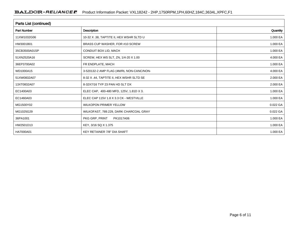| Parts List (continued) |                                          |          |  |  |  |
|------------------------|------------------------------------------|----------|--|--|--|
| <b>Part Number</b>     | Description                              | Quantity |  |  |  |
| 11XW1032G06            | 10-32 X .38, TAPTITE II, HEX WSHR SLTD U | 1.000 EA |  |  |  |
| HW3001B01              | BRASS CUP WASHER, FOR #10 SCREW          | 1.000 EA |  |  |  |
| 35CB3500A01SP          | CONDUIT BOX LID, MACH                    | 1.000 EA |  |  |  |
| 51XN2520A16            | SCREW, HEX WS SLT, ZN, 1/4-20 X 1.00     | 4.000 EA |  |  |  |
| 36EP3700A02            | FR ENDPLATE, MACH                        | 1.000 EA |  |  |  |
| WD1000A15              | 3-520132-2 AMP FLAG (4M/RL NON-CANC/NON- | 4.000 EA |  |  |  |
| 51XW0832A07            | 8-32 X .44, TAPTITE II, HEX WSHR SLTD SE | 2.000 EA |  |  |  |
| 13XT0832A07            | 8-32X7/16 TYP 23 PAN HD SLT DX           | 2.000 EA |  |  |  |
| EC1400A03              | ELEC CAP, 400-480 MFD, 125V, 1.81D X 3.  | 1.000 EA |  |  |  |
| EC1460A03              | ELEC CAP 115V 1.8 X 3.3 CK - WESTVILLE   | 1.000 EA |  |  |  |
| MG1500Y02              | <b>WILKOPON PRIMER YELLOW</b>            | 0.022 GA |  |  |  |
| MG1025G29              | WILKOFAST, 789.229, DARK CHARCOAL GRAY   | 0.022 GA |  |  |  |
| 36PA1001               | PKG GRP, PRINT<br>PK1017A06              | 1.000 EA |  |  |  |
| HW2501D13              | KEY, 3/16 SQ X 1.375                     | 1.000 EA |  |  |  |
| HA7000A01              | KEY RETAINER 7/8" DIA SHAFT              | 1.000 EA |  |  |  |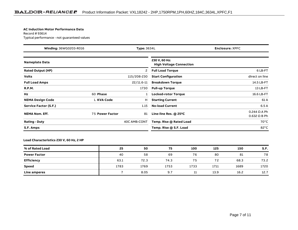#### **AC Induction Motor Performance Data**

Record # 93614Typical performance - not guaranteed values

| Winding: 36WG0203-R016<br><b>Type: 3634L</b> |                 |              | <b>Enclosure: XPFC</b>                          |                                            |
|----------------------------------------------|-----------------|--------------|-------------------------------------------------|--------------------------------------------|
| <b>Nameplate Data</b>                        |                 |              | 230 V, 60 Hz:<br><b>High Voltage Connection</b> |                                            |
| <b>Rated Output (HP)</b>                     |                 | 2            | <b>Full Load Torque</b>                         | 6 LB-FT                                    |
| <b>Volts</b>                                 |                 | 115/208-230  | <b>Start Configuration</b>                      | direct on line                             |
| <b>Full Load Amps</b>                        |                 | 22/11.6-11   | <b>Breakdown Torque</b>                         | 14.5 LB-FT                                 |
| <b>R.P.M.</b>                                |                 | 1730         | <b>Pull-up Torque</b>                           | 13 LB-FT                                   |
| Hz                                           | 60 Phase        |              | <b>Locked-rotor Torque</b>                      | 16.6 LB-FT                                 |
| <b>NEMA Design Code</b>                      | L KVA Code      | н            | <b>Starting Current</b>                         | 61 A                                       |
| Service Factor (S.F.)                        |                 | 1.15         | <b>No-load Current</b>                          | 6.5A                                       |
| <b>NEMA Nom. Eff.</b>                        | 75 Power Factor | 81           | Line-line Res. @ 25°C                           | $0.244 \Omega$ A Ph<br>$0.632 \Omega B Ph$ |
| <b>Rating - Duty</b>                         |                 | 40C AMB-CONT | Temp. Rise @ Rated Load                         | $70^{\circ}$ C                             |
| S.F. Amps                                    |                 |              | Temp. Rise @ S.F. Load                          | $82^{\circ}$ C                             |

#### **Load Characteristics 230 V, 60 Hz, 2 HP**

| % of Rated Load     | 25   | 50   | 75   | 100  | 125  | 150  | S.F. |
|---------------------|------|------|------|------|------|------|------|
| <b>Power Factor</b> | 40   | 58   | 69   | 76   | 80   | 81   | 78   |
| Efficiency          | 63.1 | 72.3 | 74.3 | 75   | 72   | 68.3 | 73.2 |
| Speed               | 1783 | 1769 | 1753 | 1733 | 1711 | 1689 | 1720 |
| Line amperes        |      | 8.05 | 9.7  | 11   | 13.9 | 16.2 | 12.7 |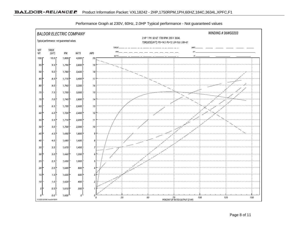

Performance Graph at 230V, 60Hz, 2.0HP Typical performance - Not guaranteed values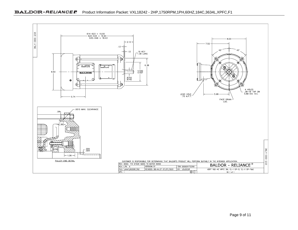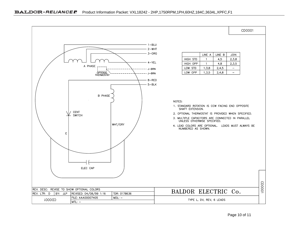